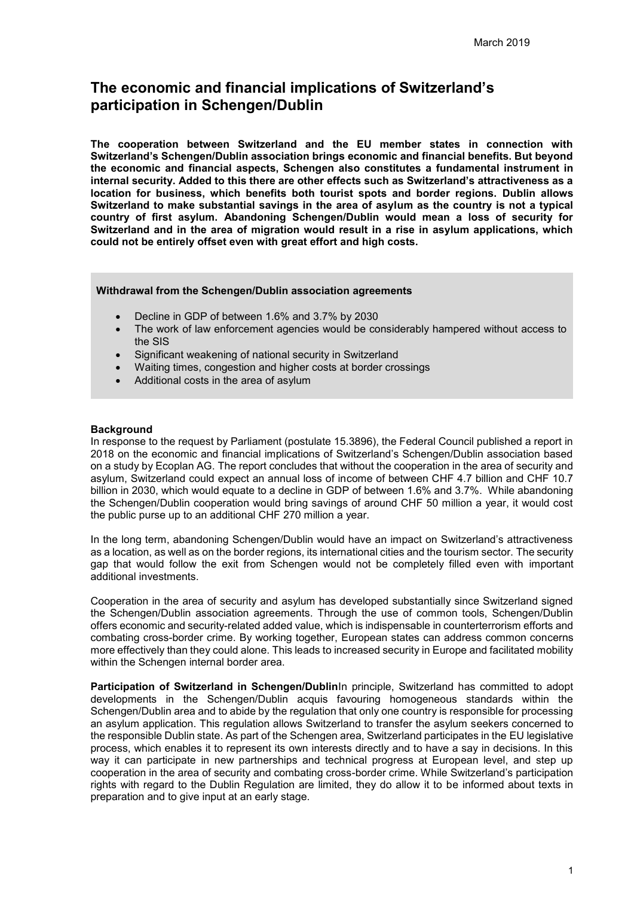# **The economic and financial implications of Switzerland's participation in Schengen/Dublin**

**The cooperation between Switzerland and the EU member states in connection with Switzerland's Schengen/Dublin association brings economic and financial benefits. But beyond the economic and financial aspects, Schengen also constitutes a fundamental instrument in internal security. Added to this there are other effects such as Switzerland's attractiveness as a location for business, which benefits both tourist spots and border regions. Dublin allows Switzerland to make substantial savings in the area of asylum as the country is not a typical country of first asylum. Abandoning Schengen/Dublin would mean a loss of security for Switzerland and in the area of migration would result in a rise in asylum applications, which could not be entirely offset even with great effort and high costs.** 

#### **Withdrawal from the Schengen/Dublin association agreements**

- Decline in GDP of between 1.6% and 3.7% by 2030
- The work of law enforcement agencies would be considerably hampered without access to the SIS
- Significant weakening of national security in Switzerland
- Waiting times, congestion and higher costs at border crossings
- Additional costs in the area of asylum

#### **Background**

In response to the request by Parliament (postulate 15.3896), the Federal Council published a report in 2018 on the economic and financial implications of Switzerland's Schengen/Dublin association based on a study by Ecoplan AG. The report concludes that without the cooperation in the area of security and asylum, Switzerland could expect an annual loss of income of between CHF 4.7 billion and CHF 10.7 billion in 2030, which would equate to a decline in GDP of between 1.6% and 3.7%. While abandoning the Schengen/Dublin cooperation would bring savings of around CHF 50 million a year, it would cost the public purse up to an additional CHF 270 million a year.

In the long term, abandoning Schengen/Dublin would have an impact on Switzerland's attractiveness as a location, as well as on the border regions, its international cities and the tourism sector. The security gap that would follow the exit from Schengen would not be completely filled even with important additional investments.

Cooperation in the area of security and asylum has developed substantially since Switzerland signed the Schengen/Dublin association agreements. Through the use of common tools, Schengen/Dublin offers economic and security-related added value, which is indispensable in counterterrorism efforts and combating cross-border crime. By working together, European states can address common concerns more effectively than they could alone. This leads to increased security in Europe and facilitated mobility within the Schengen internal border area.

**Participation of Switzerland in Schengen/Dublin**In principle, Switzerland has committed to adopt developments in the Schengen/Dublin acquis favouring homogeneous standards within the Schengen/Dublin area and to abide by the regulation that only one country is responsible for processing an asylum application. This regulation allows Switzerland to transfer the asylum seekers concerned to the responsible Dublin state. As part of the Schengen area, Switzerland participates in the EU legislative process, which enables it to represent its own interests directly and to have a say in decisions. In this way it can participate in new partnerships and technical progress at European level, and step up cooperation in the area of security and combating cross-border crime. While Switzerland's participation rights with regard to the Dublin Regulation are limited, they do allow it to be informed about texts in preparation and to give input at an early stage.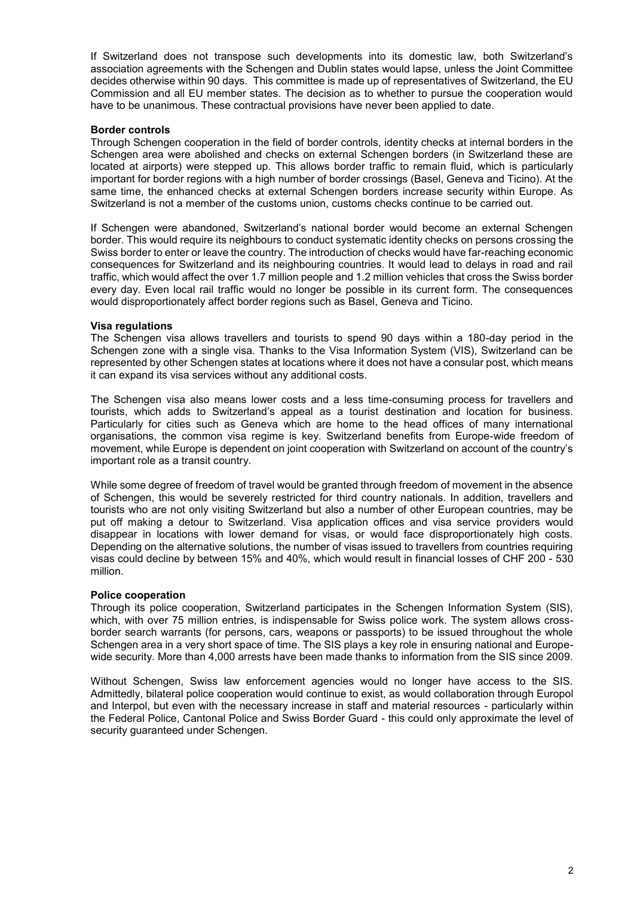If Switzerland does not transpose such developments into its domestic law, both Switzerland's association agreements with the Schengen and Dublin states would lapse, unless the Joint Committee decides otherwise within 90 days. This committee is made up of representatives of Switzerland, the EU Commission and all EU member states. The decision as to whether to pursue the cooperation would have to be unanimous. These contractual provisions have never been applied to date.

## **Border controls**

Through Schengen cooperation in the field of border controls, identity checks at internal borders in the Schengen area were abolished and checks on external Schengen borders (in Switzerland these are located at airports) were stepped up. This allows border traffic to remain fluid, which is particularly important for border regions with a high number of border crossings (Basel, Geneva and Ticino). At the same time, the enhanced checks at external Schengen borders increase security within Europe. As Switzerland is not a member of the customs union, customs checks continue to be carried out.

If Schengen were abandoned, Switzerland's national border would become an external Schengen border. This would require its neighbours to conduct systematic identity checks on persons crossing the Swiss border to enter or leave the country. The introduction of checks would have far-reaching economic consequences for Switzerland and its neighbouring countries. It would lead to delays in road and rail traffic, which would affect the over 1.7 million people and 1.2 million vehicles that cross the Swiss border every day. Even local rail traffic would no longer be possible in its current form. The consequences would disproportionately affect border regions such as Basel, Geneva and Ticino.

## **Visa regulations**

The Schengen visa allows travellers and tourists to spend 90 days within a 180-day period in the Schengen zone with a single visa. Thanks to the Visa Information System (VIS), Switzerland can be represented by other Schengen states at locations where it does not have a consular post, which means it can expand its visa services without any additional costs.

The Schengen visa also means lower costs and a less time-consuming process for travellers and tourists, which adds to Switzerland's appeal as a tourist destination and location for business. Particularly for cities such as Geneva which are home to the head offices of many international organisations, the common visa regime is key. Switzerland benefits from Europe-wide freedom of movement, while Europe is dependent on joint cooperation with Switzerland on account of the country's important role as a transit country.

While some degree of freedom of travel would be granted through freedom of movement in the absence of Schengen, this would be severely restricted for third country nationals. In addition, travellers and tourists who are not only visiting Switzerland but also a number of other European countries, may be put off making a detour to Switzerland. Visa application offices and visa service providers would disappear in locations with lower demand for visas, or would face disproportionately high costs. Depending on the alternative solutions, the number of visas issued to travellers from countries requiring visas could decline by between 15% and 40%, which would result in financial losses of CHF 200 - 530 million.

#### **Police cooperation**

Through its police cooperation, Switzerland participates in the Schengen Information System (SIS), which, with over 75 million entries, is indispensable for Swiss police work. The system allows crossborder search warrants (for persons, cars, weapons or passports) to be issued throughout the whole Schengen area in a very short space of time. The SIS plays a key role in ensuring national and Europewide security. More than 4,000 arrests have been made thanks to information from the SIS since 2009.

Without Schengen, Swiss law enforcement agencies would no longer have access to the SIS. Admittedly, bilateral police cooperation would continue to exist, as would collaboration through Europol and Interpol, but even with the necessary increase in staff and material resources - particularly within the Federal Police, Cantonal Police and Swiss Border Guard - this could only approximate the level of security guaranteed under Schengen.